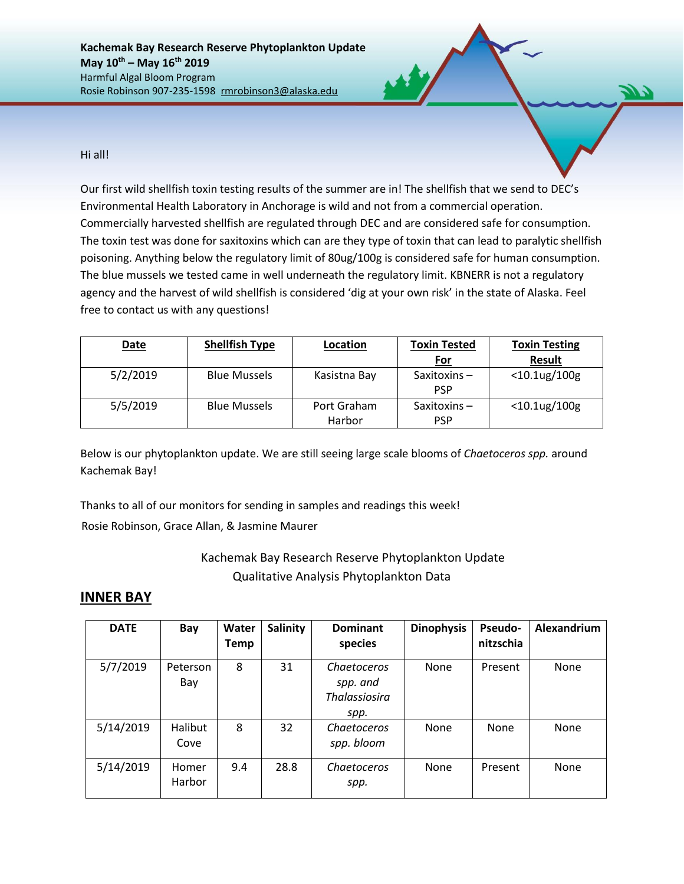**Kachemak Bay Research Reserve Phytoplankton Update May 10th – May 16th 2019** Harmful Algal Bloom Program Rosie Robinson 907-235-1598 rmrobinson3@alaska.edu

Hi all!

Our first wild shellfish toxin testing results of the summer are in! The shellfish that we send to DEC's Environmental Health Laboratory in Anchorage is wild and not from a commercial operation. Commercially harvested shellfish are regulated through DEC and are considered safe for consumption. The toxin test was done for saxitoxins which can are they type of toxin that can lead to paralytic shellfish poisoning. Anything below the regulatory limit of 80ug/100g is considered safe for human consumption. The blue mussels we tested came in well underneath the regulatory limit. KBNERR is not a regulatory agency and the harvest of wild shellfish is considered 'dig at your own risk' in the state of Alaska. Feel free to contact us with any questions!

| <b>Date</b> | <b>Shellfish Type</b> | Location              | <b>Toxin Tested</b>          | <b>Toxin Testing</b> |
|-------------|-----------------------|-----------------------|------------------------------|----------------------|
|             |                       |                       | <u>For</u>                   | <b>Result</b>        |
| 5/2/2019    | <b>Blue Mussels</b>   | Kasistna Bay          | Saxitoxins $-$<br><b>PSP</b> | $<$ 10.1ug/100g      |
| 5/5/2019    | <b>Blue Mussels</b>   | Port Graham<br>Harbor | Saxitoxins $-$<br><b>PSP</b> | $<$ 10.1ug/100g      |

Below is our phytoplankton update. We are still seeing large scale blooms of *Chaetoceros spp.* around Kachemak Bay!

Thanks to all of our monitors for sending in samples and readings this week! Rosie Robinson, Grace Allan, & Jasmine Maurer

## Kachemak Bay Research Reserve Phytoplankton Update Qualitative Analysis Phytoplankton Data

## **INNER BAY**

| <b>DATE</b> | Bay             | Water<br><b>Temp</b> | <b>Salinity</b> | <b>Dominant</b><br>species                              | <b>Dinophysis</b> | Pseudo-<br>nitzschia | Alexandrium |
|-------------|-----------------|----------------------|-----------------|---------------------------------------------------------|-------------------|----------------------|-------------|
| 5/7/2019    | Peterson<br>Bay | 8                    | 31              | Chaetoceros<br>spp. and<br><b>Thalassiosira</b><br>spp. | None              | Present              | None        |
| 5/14/2019   | Halibut<br>Cove | 8                    | 32              | Chaetoceros<br>spp. bloom                               | None              | <b>None</b>          | None        |
| 5/14/2019   | Homer<br>Harbor | 9.4                  | 28.8            | Chaetoceros<br>spp.                                     | None              | Present              | None        |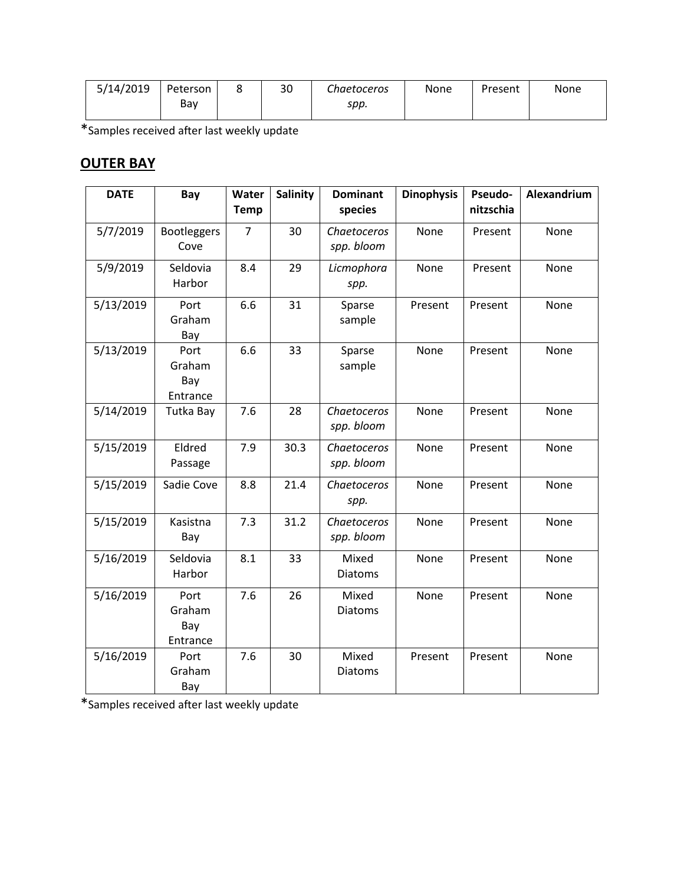| 5/14/2019 | Peterson | חכ<br>зU | Chaetoceros | None | Present | None |
|-----------|----------|----------|-------------|------|---------|------|
|           | Bav      |          | spp.        |      |         |      |

\*Samples received after last weekly update

## **OUTER BAY**

| <b>DATE</b> | Bay                               | Water<br><b>Temp</b> | <b>Salinity</b> | <b>Dominant</b><br>species | <b>Dinophysis</b>  | Pseudo-<br>nitzschia | Alexandrium |
|-------------|-----------------------------------|----------------------|-----------------|----------------------------|--------------------|----------------------|-------------|
| 5/7/2019    | Bootleggers<br>Cove               | $\overline{7}$       | 30              | Chaetoceros<br>spp. bloom  | None               | Present              | None        |
| 5/9/2019    | Seldovia<br>Harbor                | 8.4                  | 29              | Licmophora<br>spp.         | None               | Present              | None        |
| 5/13/2019   | Port<br>Graham<br>Bay             | 6.6                  | 31              | Sparse<br>sample           | Present<br>Present |                      | None        |
| 5/13/2019   | Port<br>Graham<br>Bay<br>Entrance | 6.6                  | 33              | Sparse<br>sample           | None               |                      | None        |
| 5/14/2019   | Tutka Bay                         | 7.6                  | 28              | Chaetoceros<br>spp. bloom  | None               | Present              | None        |
| 5/15/2019   | Eldred<br>Passage                 | 7.9                  | 30.3            | Chaetoceros<br>spp. bloom  | None               | Present              | None        |
| 5/15/2019   | Sadie Cove                        | 8.8                  | 21.4            | Chaetoceros<br>spp.        | None               | Present              | None        |
| 5/15/2019   | Kasistna<br>Bay                   | 7.3                  | 31.2            | Chaetoceros<br>spp. bloom  | None               | Present              | None        |
| 5/16/2019   | Seldovia<br>Harbor                | 8.1                  | 33              | Mixed<br><b>Diatoms</b>    | None               | Present              | None        |
| 5/16/2019   | Port<br>Graham<br>Bay<br>Entrance | 7.6                  | 26              | Mixed<br><b>Diatoms</b>    | None<br>Present    |                      | None        |
| 5/16/2019   | Port<br>Graham<br>Bay             | 7.6                  | 30              | Mixed<br><b>Diatoms</b>    | Present            | Present              | None        |

\*Samples received after last weekly update